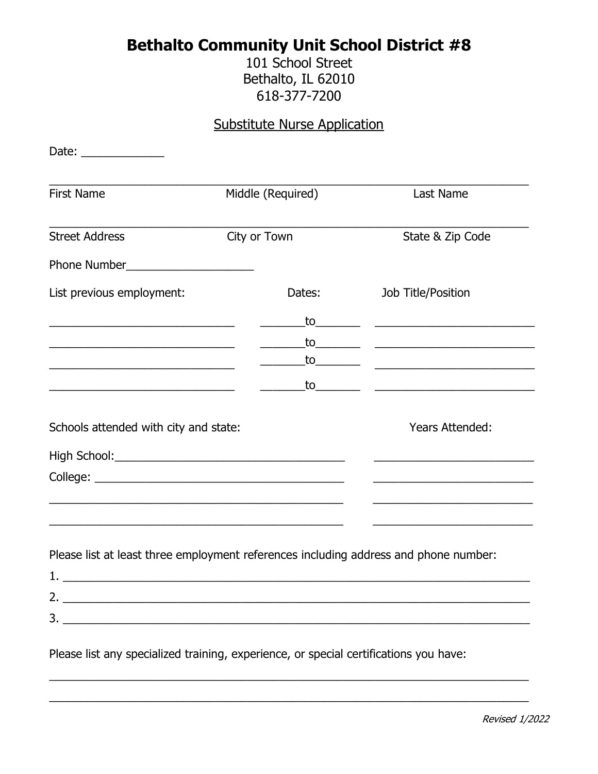## **Bethalto Community Unit School District #8**

101 School Street Bethalto, IL 62010 618-377-7200

## **Substitute Nurse Application**

| Date: _______________                                                                                                                                                                                                                  |                   |                                                                                                                                                                                                                               |
|----------------------------------------------------------------------------------------------------------------------------------------------------------------------------------------------------------------------------------------|-------------------|-------------------------------------------------------------------------------------------------------------------------------------------------------------------------------------------------------------------------------|
| <b>First Name</b>                                                                                                                                                                                                                      | Middle (Required) | Last Name                                                                                                                                                                                                                     |
| <b>Street Address</b>                                                                                                                                                                                                                  | City or Town      | State & Zip Code                                                                                                                                                                                                              |
|                                                                                                                                                                                                                                        |                   |                                                                                                                                                                                                                               |
| List previous employment:<br><u> 1989 - Johann John Stone, mars et al. (1989)</u><br>the control of the control of the control of the control of the control of the control of<br><u> 1989 - Johann John Stone, mars et al. (1989)</u> | Dates:            | Job Title/Position                                                                                                                                                                                                            |
|                                                                                                                                                                                                                                        |                   |                                                                                                                                                                                                                               |
|                                                                                                                                                                                                                                        |                   |                                                                                                                                                                                                                               |
|                                                                                                                                                                                                                                        | to________        |                                                                                                                                                                                                                               |
|                                                                                                                                                                                                                                        |                   |                                                                                                                                                                                                                               |
| Schools attended with city and state:                                                                                                                                                                                                  |                   | Years Attended:                                                                                                                                                                                                               |
|                                                                                                                                                                                                                                        |                   |                                                                                                                                                                                                                               |
|                                                                                                                                                                                                                                        |                   | the control of the control of the control of the control of the control of the control of the control of the control of the control of the control of the control of the control of the control of the control of the control |
|                                                                                                                                                                                                                                        |                   |                                                                                                                                                                                                                               |
|                                                                                                                                                                                                                                        |                   |                                                                                                                                                                                                                               |
| Please list at least three employment references including address and phone number:                                                                                                                                                   |                   |                                                                                                                                                                                                                               |
| 1.                                                                                                                                                                                                                                     |                   |                                                                                                                                                                                                                               |
|                                                                                                                                                                                                                                        |                   |                                                                                                                                                                                                                               |
|                                                                                                                                                                                                                                        |                   |                                                                                                                                                                                                                               |
| Please list any specialized training, experience, or special certifications you have:                                                                                                                                                  |                   |                                                                                                                                                                                                                               |